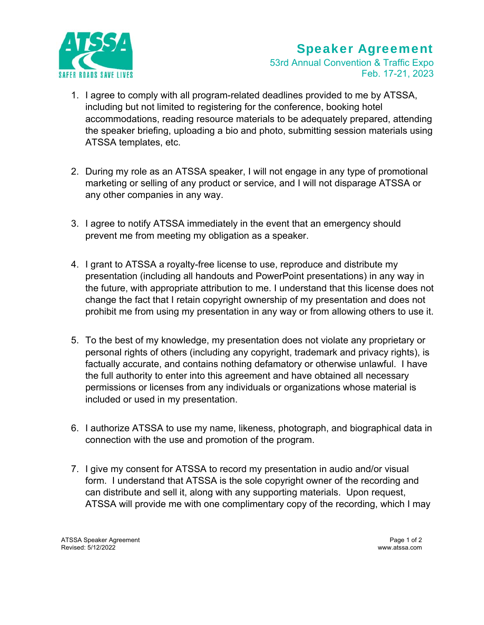

## Speaker Agreement

53rd Annual Convention & Traffic Expo Feb. 17-21, 2023

- 1. I agree to comply with all program-related deadlines provided to me by ATSSA, including but not limited to registering for the conference, booking hotel accommodations, reading resource materials to be adequately prepared, attending the speaker briefing, uploading a bio and photo, submitting session materials using ATSSA templates, etc.
- 2. During my role as an ATSSA speaker, I will not engage in any type of promotional marketing or selling of any product or service, and I will not disparage ATSSA or any other companies in any way.
- 3. I agree to notify ATSSA immediately in the event that an emergency should prevent me from meeting my obligation as a speaker.
- 4. I grant to ATSSA a royalty-free license to use, reproduce and distribute my presentation (including all handouts and PowerPoint presentations) in any way in the future, with appropriate attribution to me. I understand that this license does not change the fact that I retain copyright ownership of my presentation and does not prohibit me from using my presentation in any way or from allowing others to use it.
- 5. To the best of my knowledge, my presentation does not violate any proprietary or personal rights of others (including any copyright, trademark and privacy rights), is factually accurate, and contains nothing defamatory or otherwise unlawful. I have the full authority to enter into this agreement and have obtained all necessary permissions or licenses from any individuals or organizations whose material is included or used in my presentation.
- 6. I authorize ATSSA to use my name, likeness, photograph, and biographical data in connection with the use and promotion of the program.
- 7. I give my consent for ATSSA to record my presentation in audio and/or visual form. I understand that ATSSA is the sole copyright owner of the recording and can distribute and sell it, along with any supporting materials. Upon request, ATSSA will provide me with one complimentary copy of the recording, which I may